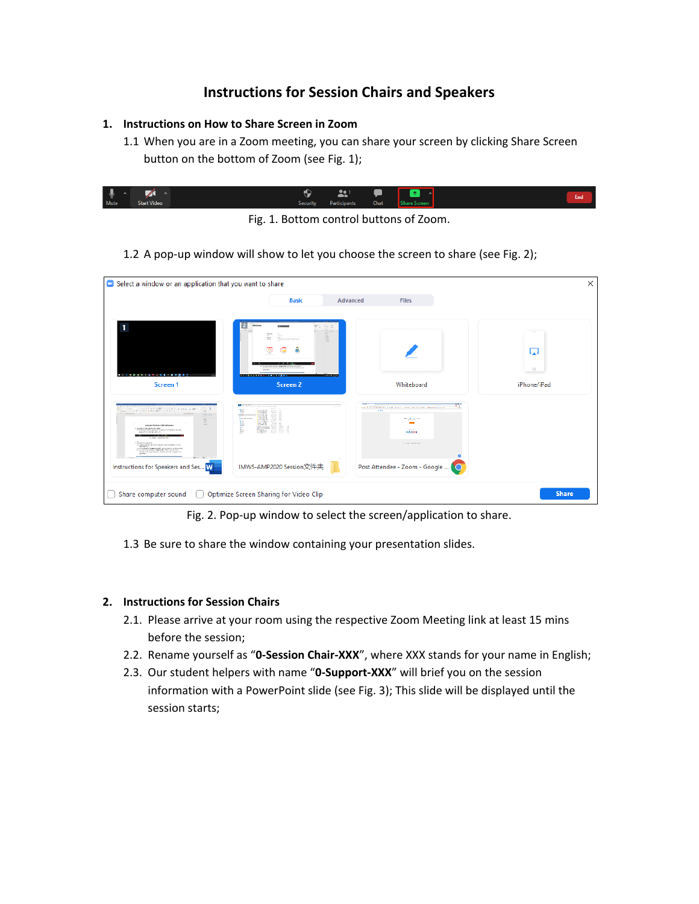## **Instructions for Session Chairs and Speakers**

## **1. Instructions on How to Share Screen in Zoom**

1.1 When you are in a Zoom meeting, you can share your screen by clicking Share Screen button on the bottom of Zoom (see Fig. 1);

| ◡<br>-      |                    |          | .                           | ◠            |
|-------------|--------------------|----------|-----------------------------|--------------|
| <b>Mute</b> | <b>Start Video</b> | Security | Chat<br><b>Participants</b> | are Screen i |

Fig. 1. Bottom control buttons of Zoom.

1.2 A pop-up window will show to let you choose the screen to share (see Fig. 2);

|                                                                                                                                                                                                                                                                                                                                                                                                                                                                                                                                                                                                                                                                                                                                                                                                                                                                                                                                                                                                                                                                                                                                                                                                                                                                                                                                   | <b>Basic</b>                                                                                            | Advanced<br><b>Files</b>                                                                                                          |             |
|-----------------------------------------------------------------------------------------------------------------------------------------------------------------------------------------------------------------------------------------------------------------------------------------------------------------------------------------------------------------------------------------------------------------------------------------------------------------------------------------------------------------------------------------------------------------------------------------------------------------------------------------------------------------------------------------------------------------------------------------------------------------------------------------------------------------------------------------------------------------------------------------------------------------------------------------------------------------------------------------------------------------------------------------------------------------------------------------------------------------------------------------------------------------------------------------------------------------------------------------------------------------------------------------------------------------------------------|---------------------------------------------------------------------------------------------------------|-----------------------------------------------------------------------------------------------------------------------------------|-------------|
|                                                                                                                                                                                                                                                                                                                                                                                                                                                                                                                                                                                                                                                                                                                                                                                                                                                                                                                                                                                                                                                                                                                                                                                                                                                                                                                                   | <b>CARDIOLES</b><br>person<br>÷.                                                                        |                                                                                                                                   |             |
|                                                                                                                                                                                                                                                                                                                                                                                                                                                                                                                                                                                                                                                                                                                                                                                                                                                                                                                                                                                                                                                                                                                                                                                                                                                                                                                                   |                                                                                                         |                                                                                                                                   | w           |
| .                                                                                                                                                                                                                                                                                                                                                                                                                                                                                                                                                                                                                                                                                                                                                                                                                                                                                                                                                                                                                                                                                                                                                                                                                                                                                                                                 | to sell a face that inhour his for the orie will as help and<br>------------------<br><b>CONTRACTOR</b> |                                                                                                                                   | $\circ$     |
| Screen <sub>1</sub>                                                                                                                                                                                                                                                                                                                                                                                                                                                                                                                                                                                                                                                                                                                                                                                                                                                                                                                                                                                                                                                                                                                                                                                                                                                                                                               | Screen 2                                                                                                | Whiteboard                                                                                                                        | iPhone/iPad |
| consideration and drawneds<br>÷<br>$-1 - 1 - 1 - 1 - 1 - 1 = 0 \qquad \text{and} \qquad -1 - 1 - 1 - 1 = 0 \qquad \text{and} \qquad -1 - 1 = 0 \qquad \text{and} \qquad -1 - 1 = 0 \qquad \text{and} \qquad -1 - 1 = 0 \qquad \text{and} \qquad -1 - 1 = 0 \qquad \text{and} \qquad -1 - 1 = 0 \qquad \text{and} \qquad -1 - 1 = 0 \qquad \text{and} \qquad -1 = 0 \qquad \text{and} \qquad -1 = 0 \qquad \text{and} \qquad -1 = 0 \qquad \text{and} \qquad -1$<br>'n<br>especializate lando chairca al lumino.<br>to the state of the Assessment Assessment of the Assessment Contract Contract Contract Contract Contract Contract Contract Contract Contract Contract Contract Contract Contract Contract Contract Contract Contract Contract<br>and a state of the state<br><b>K. Bangalo Proguestra</b><br>the property of the company's formation to achieve the first term of the<br>$\begin{minipage}{0.9\textwidth} \begin{tabular}{ c c c c c } \hline & $\mathbf{a}_1$ & $\mathbf{a}_2$ & $\mathbf{a}_3$ & $\mathbf{a}_4$ & $\mathbf{a}_5$ & $\mathbf{a}_6$ & $\mathbf{a}_7$ & $\mathbf{a}_8$ & $\mathbf{a}_7$ & $\mathbf{a}_8$ & $\mathbf{a}_8$ & $\mathbf{a}_8$ & $\mathbf{a}_8$ & $\mathbf{a}_8$ & $\mathbf{a}_8$ & $\mathbf{a}_8$ & $\mathbf{a}_8$ & $\mathbf{a}_8$ & $\mathbf{a}_8$ & $\mathbf{a}_8$ & $\mathbf{$ | <b>Mariana</b><br>three you is completed through the<br>$\sim$ $-$<br>"……<br><b>Phone</b>               | <b>The Ave</b><br>1721<br><b>Section</b><br>material<br>$\overline{\phantom{a}}$<br>$\sim$<br><b>A6008</b><br><b>A CONTRACTOR</b> |             |
| <b>MAPRE</b><br>Instructions for Speakers and Ses W                                                                                                                                                                                                                                                                                                                                                                                                                                                                                                                                                                                                                                                                                                                                                                                                                                                                                                                                                                                                                                                                                                                                                                                                                                                                               | IMWS-AMP2020 Session文件夹                                                                                 | Post Attendee - Zoom - Google                                                                                                     |             |

Fig. 2. Pop-up window to select the screen/application to share.

1.3 Be sure to share the window containing your presentation slides.

## **2. Instructions for Session Chairs**

- 2.1. Please arrive at your room using the respective Zoom Meeting link at least 15 mins before the session;
- 2.2. Rename yourself as "**0-Session Chair-XXX**", where XXX stands for your name in English;
- 2.3. Our student helpers with name "**0-Support-XXX**" will brief you on the session information with a PowerPoint slide (see Fig. 3); This slide will be displayed until the session starts;